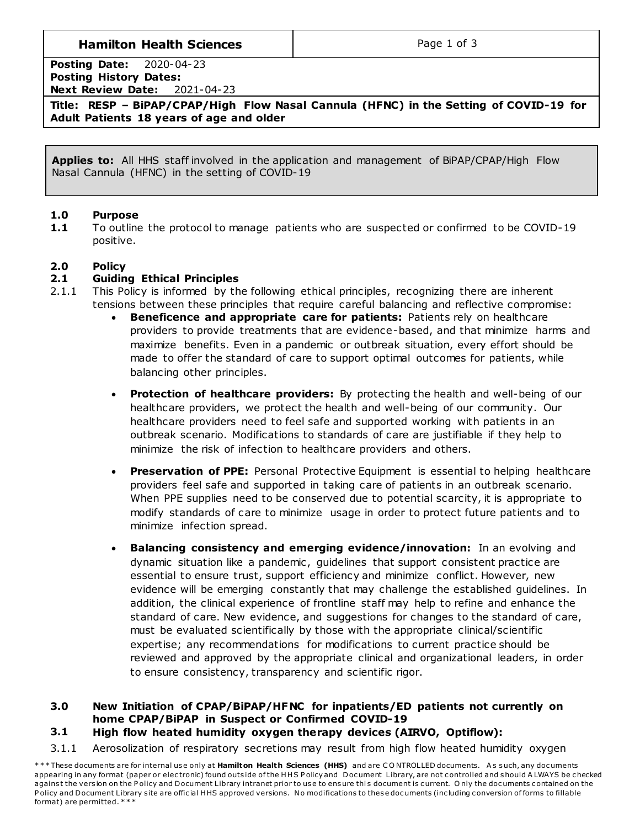# **Hamilton Health Sciences**  $\qquad$  **Page 1 of 3**

**Posting Date:** 2020-04-23 **Posting History Dates: Next Review Date:** 2021-04-23

**Title: RESP – BiPAP/CPAP/High Flow Nasal Cannula (HFNC) in the Setting of COVID-19 for Adult Patients 18 years of age and older**

**Applies to:** All HHS staff involved in the application and management of BiPAP/CPAP/High Flow Nasal Cannula (HFNC) in the setting of COVID-19

### **1.0 Purpose**

**1.1** To outline the protocol to manage patients who are suspected or confirmed to be COVID-19 positive.

### **2.0 Policy**

### **2.1 Guiding Ethical Principles**

- 2.1.1 This Policy is informed by the following ethical principles, recognizing there are inherent tensions between these principles that require careful balancing and reflective compromise:
	- **Beneficence and appropriate care for patients:** Patients rely on healthcare providers to provide treatments that are evidence-based, and that minimize harms and maximize benefits. Even in a pandemic or outbreak situation, every effort should be made to offer the standard of care to support optimal outcomes for patients, while balancing other principles.
	- **Protection of healthcare providers:** By protecting the health and well-being of our healthcare providers, we protect the health and well-being of our community. Our healthcare providers need to feel safe and supported working with patients in an outbreak scenario. Modifications to standards of care are justifiable if they help to minimize the risk of infection to healthcare providers and others.
	- **Preservation of PPE:** Personal Protective Equipment is essential to helping healthcare providers feel safe and supported in taking care of patients in an outbreak scenario. When PPE supplies need to be conserved due to potential scarcity, it is appropriate to modify standards of care to minimize usage in order to protect future patients and to minimize infection spread.
	- **Balancing consistency and emerging evidence/innovation:** In an evolving and dynamic situation like a pandemic, guidelines that support consistent practice are essential to ensure trust, support efficiency and minimize conflict. However, new evidence will be emerging constantly that may challenge the established guidelines. In addition, the clinical experience of frontline staff may help to refine and enhance the standard of care. New evidence, and suggestions for changes to the standard of care, must be evaluated scientifically by those with the appropriate clinical/scientific expertise; any recommendations for modifications to current practice should be reviewed and approved by the appropriate clinical and organizational leaders, in order to ensure consistency, transparency and scientific rigor.

### **3.0 New Initiation of CPAP/BiPAP/HFNC for inpatients/ED patients not currently on home CPAP/BiPAP in Suspect or Confirmed COVID-19**

### **3.1 High flow heated humidity oxygen therapy devices (AIRVO, Optiflow):**

3.1.1 Aerosolization of respiratory secretions may result from high flow heated humidity oxygen

\*\*\* These documents are for internal use only at **Hamilton Health Sciences (HHS)** and are CONTROLLED documents. As such, any documents appearing in any format (paper or electronic) found outside of the HHS Policy and Document Library, are not controlled and should A LWAYS be checked against the version on the Policy and Document Library intranet prior to use to ensure this document is current. Only the documents contained on the Policy and Document Library site are official HHS approved versions. No modifications to these documents (including conversion of forms to fillable format) are permitted. \* \* \*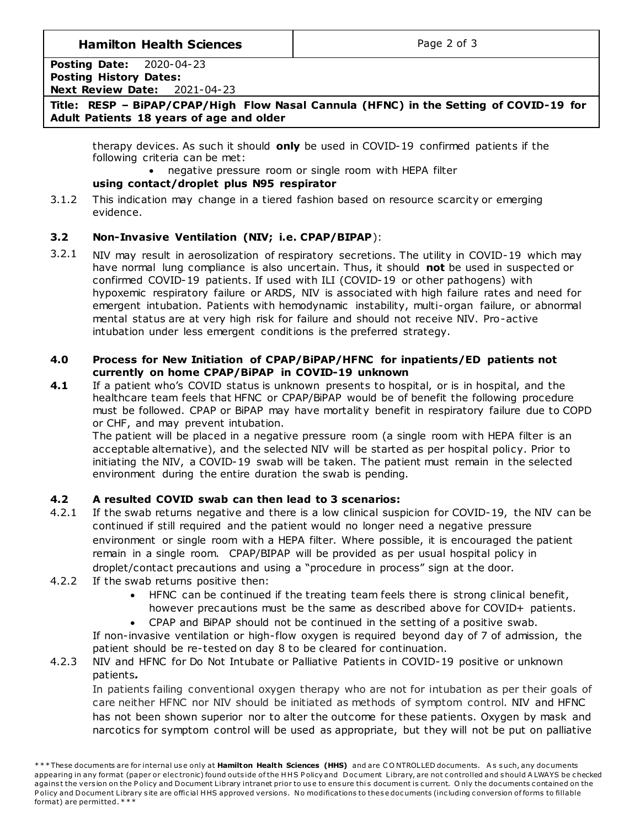# **Hamilton Health Sciences**  $\qquad$  **Page 2 of 3**

#### **Posting Date:** 2020-04-23 **Posting History Dates: Next Review Date:** 2021-04-23

### **Title: RESP – BiPAP/CPAP/High Flow Nasal Cannula (HFNC) in the Setting of COVID-19 for Adult Patients 18 years of age and older**

therapy devices. As such it should **only** be used in COVID-19 confirmed patients if the following criteria can be met:

negative pressure room or single room with HEPA filter

# **using contact/droplet plus N95 respirator**

3.1.2 This indication may change in a tiered fashion based on resource scarcity or emerging evidence.

## **3.2 Non-Invasive Ventilation (NIV; i.e. CPAP/BIPAP**):

3.2.1 NIV may result in aerosolization of respiratory secretions. The utility in COVID-19 which may have normal lung compliance is also uncertain. Thus, it should **not** be used in suspected or confirmed COVID-19 patients. If used with ILI (COVID-19 or other pathogens) with hypoxemic respiratory failure or ARDS, NIV is associated with high failure rates and need for emergent intubation. Patients with hemodynamic instability, multi-organ failure, or abnormal mental status are at very high risk for failure and should not receive NIV. Pro-active intubation under less emergent conditions is the preferred strategy.

### **4.0 Process for New Initiation of CPAP/BiPAP/HFNC for inpatients/ED patients not currently on home CPAP/BiPAP in COVID-19 unknown**

**4.1** If a patient who's COVID status is unknown presents to hospital, or is in hospital, and the healthcare team feels that HFNC or CPAP/BiPAP would be of benefit the following procedure must be followed. CPAP or BiPAP may have mortality benefit in respiratory failure due to COPD or CHF, and may prevent intubation.

The patient will be placed in a negative pressure room (a single room with HEPA filter is an acceptable alternative), and the selected NIV will be started as per hospital policy. Prior to initiating the NIV, a COVID-19 swab will be taken. The patient must remain in the selected environment during the entire duration the swab is pending.

# **4.2 A resulted COVID swab can then lead to 3 scenarios:**

- 4.2.1 If the swab returns negative and there is a low clinical suspicion for COVID-19, the NIV can be continued if still required and the patient would no longer need a negative pressure environment or single room with a HEPA filter. Where possible, it is encouraged the patient remain in a single room. CPAP/BIPAP will be provided as per usual hospital policy in droplet/contact precautions and using a "procedure in process" sign at the door.
- 4.2.2 If the swab returns positive then:
	- HFNC can be continued if the treating team feels there is strong clinical benefit, however precautions must be the same as described above for COVID+ patients.

 CPAP and BiPAP should not be continued in the setting of a positive swab. If non-invasive ventilation or high-flow oxygen is required beyond day of 7 of admission, the patient should be re-tested on day 8 to be cleared for continuation.

# 4.2.3 NIV and HFNC for Do Not Intubate or Palliative Patients in COVID-19 positive or unknown patients*.*

In patients failing conventional oxygen therapy who are not for intubation as per their goals of care neither HFNC nor NIV should be initiated as methods of symptom control. NIV and HFNC has not been shown superior nor to alter the outcome for these patients. Oxygen by mask and narcotics for symptom control will be used as appropriate, but they will not be put on palliative

<sup>\*\*\*</sup> These documents are for internal use only at Hamilton Health Sciences (HHS) and are CONTROLLED documents. As such, any documents appearing in any format (paper or electronic) found outside of the HHS Policy and Document Library, are not controlled and should A LWAYS be checked against the version on the Policy and Document Library intranet prior to use to ensure this document is current. Only the documents contained on the Policy and Document Library site are official HHS approved versions. No modifications to these documents (including conversion of forms to fillable format) are permitted. \* \* \*